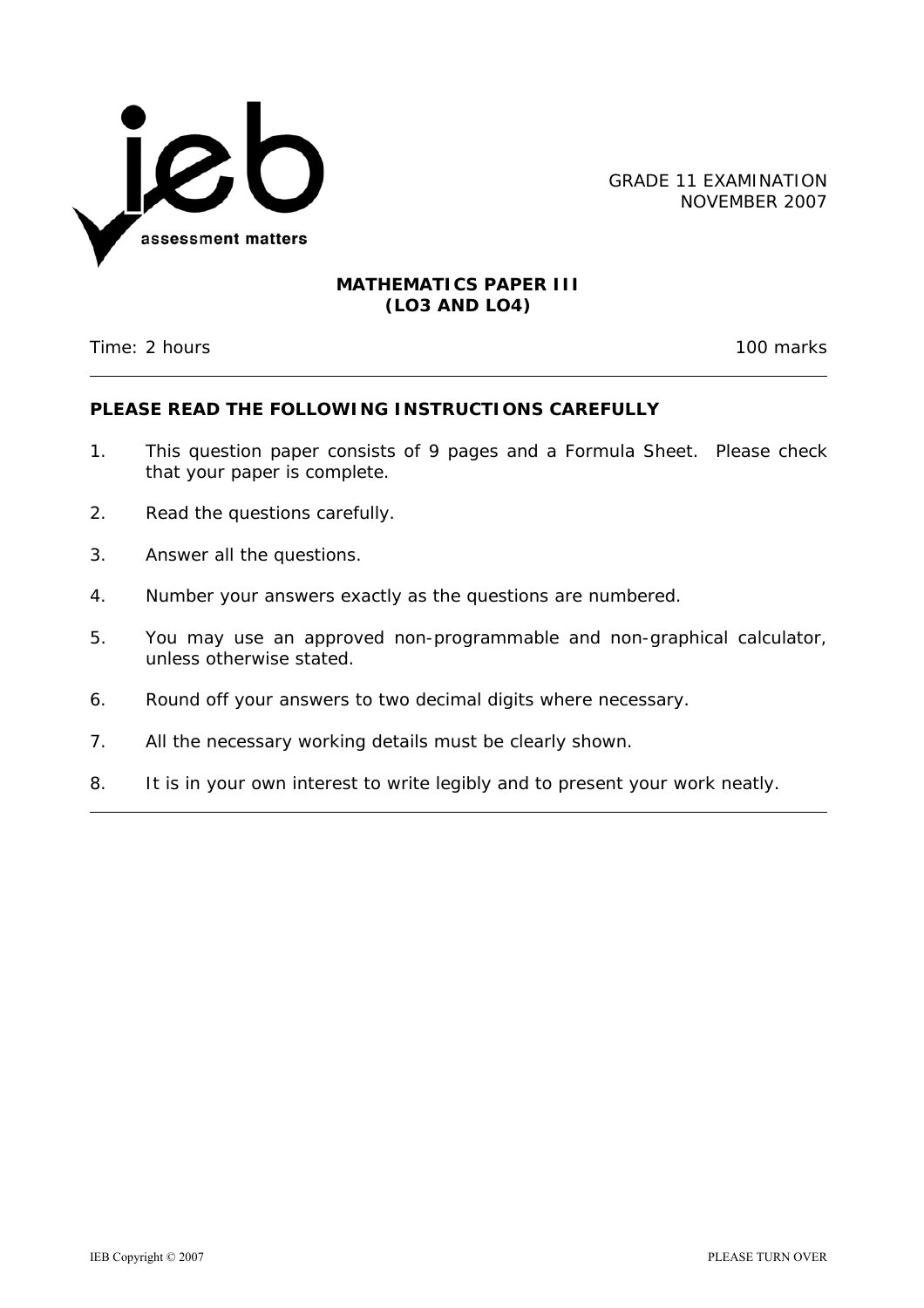

GRADE 11 EXAMINATION NOVEMBER 2007

#### **MATHEMATICS PAPER III (LO3 AND LO4)**

Time: 2 hours 100 marks

### **PLEASE READ THE FOLLOWING INSTRUCTIONS CAREFULLY**

- 1. This question paper consists of 9 pages and a Formula Sheet. Please check that your paper is complete.
- 2. Read the questions carefully.
- 3. Answer all the questions.
- 4. Number your answers exactly as the questions are numbered.
- 5. You may use an approved non-programmable and non-graphical calculator, unless otherwise stated.
- 6. Round off your answers to two decimal digits where necessary.
- 7. All the necessary working details must be clearly shown.
- 8. It is in your own interest to write legibly and to present your work neatly.

l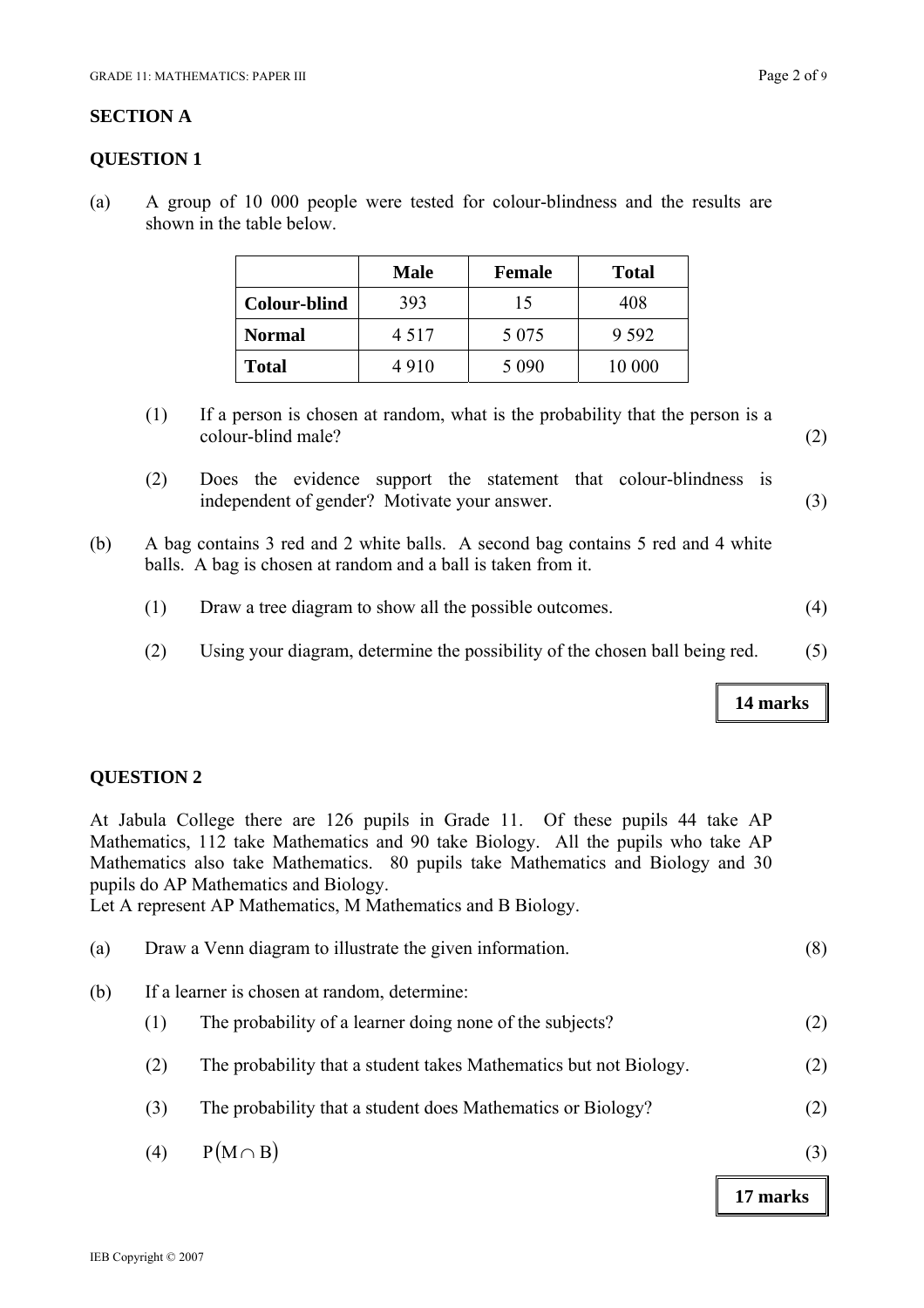#### **SECTION A**

#### **QUESTION 1**

(a) A group of 10 000 people were tested for colour-blindness and the results are shown in the table below.

|                     | <b>Male</b> | <b>Female</b> | <b>Total</b> |  |  |
|---------------------|-------------|---------------|--------------|--|--|
| <b>Colour-blind</b> | 393         | 15            | 408          |  |  |
| <b>Normal</b>       | 4 5 1 7     | 5 0 7 5       | 9 5 9 2      |  |  |
| <b>Total</b>        | 4910        | 5 0 9 0       | 10 000       |  |  |

- (1) If a person is chosen at random, what is the probability that the person is a colour-blind male? (2)
- (2) Does the evidence support the statement that colour-blindness is independent of gender? Motivate your answer. (3)
- (b) A bag contains 3 red and 2 white balls. A second bag contains 5 red and 4 white balls. A bag is chosen at random and a ball is taken from it.
	- (1) Draw a tree diagram to show all the possible outcomes. (4)
	- (2) Using your diagram, determine the possibility of the chosen ball being red. (5)

#### **QUESTION 2**

At Jabula College there are 126 pupils in Grade 11. Of these pupils 44 take AP Mathematics, 112 take Mathematics and 90 take Biology. All the pupils who take AP Mathematics also take Mathematics. 80 pupils take Mathematics and Biology and 30 pupils do AP Mathematics and Biology.

Let A represent AP Mathematics, M Mathematics and B Biology.

| (a) |     | Draw a Venn diagram to illustrate the given information.          | (8) |
|-----|-----|-------------------------------------------------------------------|-----|
| (b) |     | If a learner is chosen at random, determine:                      |     |
|     | (1) | The probability of a learner doing none of the subjects?          | (2) |
|     | (2) | The probability that a student takes Mathematics but not Biology. | (2) |
|     | (3) | The probability that a student does Mathematics or Biology?       | (2) |
|     | (4) | $P(M \cap B)$                                                     | (3) |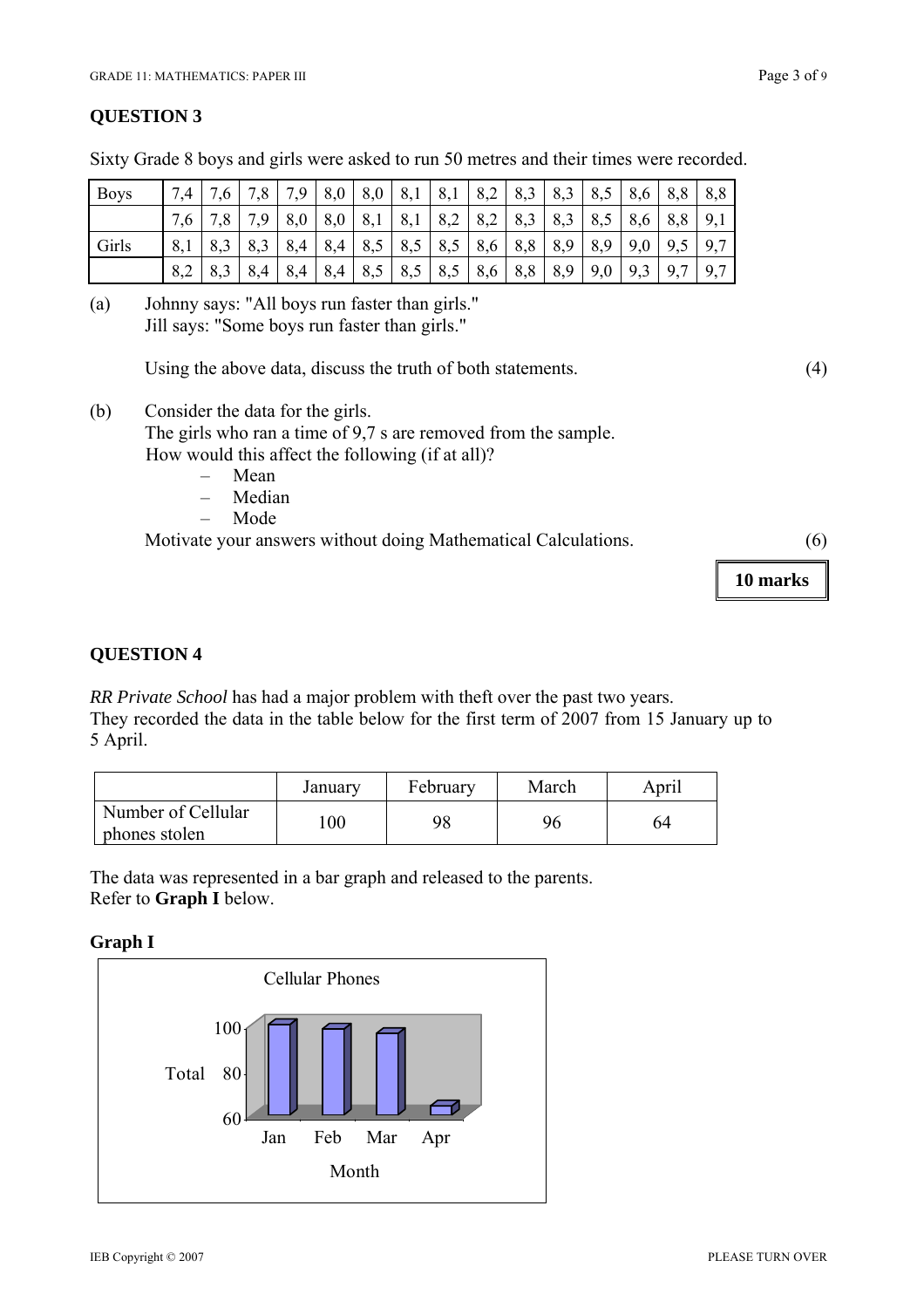Sixty Grade 8 boys and girls were asked to run 50 metres and their times were recorded.

| <b>Boys</b> | 7.4 | 7.6 | 7,8 | 7,9 | 8,0 | 8,0 | 8,1         | $8,1$   8,2                                                           | 8,3     | 8,3 | 8,5 | 8,6 | 8,8 | 8,8 |
|-------------|-----|-----|-----|-----|-----|-----|-------------|-----------------------------------------------------------------------|---------|-----|-----|-----|-----|-----|
|             |     |     | 7,9 | 8,0 | 8,0 |     | $8,1$   8,1 | $8,2$   8,2                                                           | 8,3     | 8,3 | 8,5 | 8,6 | 8,8 | 9,1 |
| Girls       | 8,1 |     | 8,3 | 8,4 |     |     |             | $8,4$   8,5   8,5   8,5   8,6                                         | 8,8 8,9 |     | 8,9 | 9,0 | 9,5 | 9,7 |
|             |     | 8,3 | 8,4 | 8,4 | 8,4 |     |             | $\mid 8.5 \mid 8.5 \mid 8.5 \mid 8.6 \mid 8.8 \mid 8.9 \mid 9.0 \mid$ |         |     |     | 9,3 | 9,7 | 9,7 |

(a) Johnny says: "All boys run faster than girls." Jill says: "Some boys run faster than girls."

Using the above data, discuss the truth of both statements. (4)

(b) Consider the data for the girls.

The girls who ran a time of 9,7 s are removed from the sample. How would this affect the following (if at all)?

- Mean
- Median
- Mode

Motivate your answers without doing Mathematical Calculations. (6)

**10 marks** 

## **QUESTION 4**

*RR Private School* has had a major problem with theft over the past two years.

They recorded the data in the table below for the first term of 2007 from 15 January up to 5 April.

|                                     | January | February | March | April |
|-------------------------------------|---------|----------|-------|-------|
| Number of Cellular<br>phones stolen | 100     | 98       | 96    | 64    |

The data was represented in a bar graph and released to the parents. Refer to **Graph I** below.

### **Graph I**

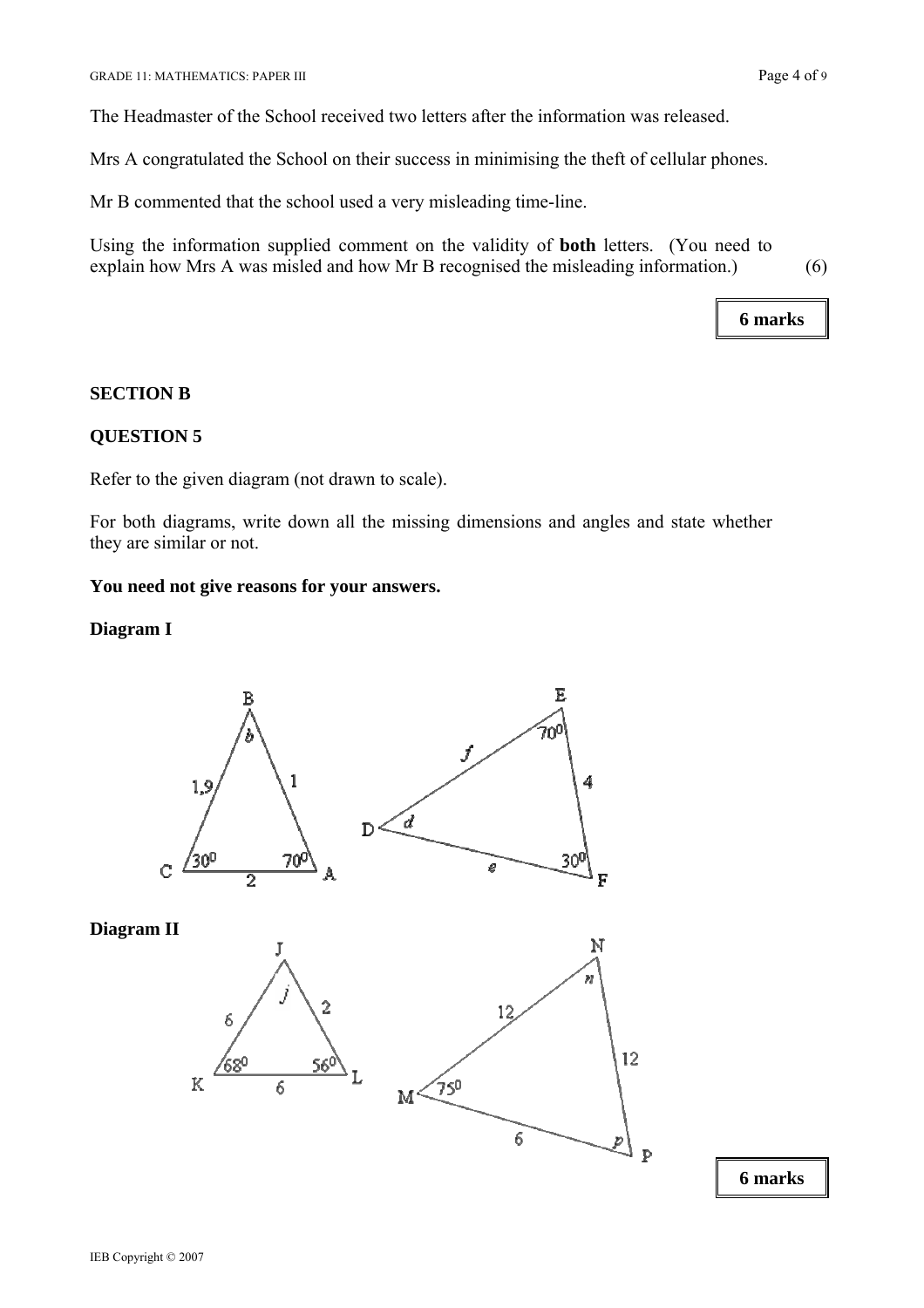The Headmaster of the School received two letters after the information was released.

Mrs A congratulated the School on their success in minimising the theft of cellular phones.

Mr B commented that the school used a very misleading time-line.

Using the information supplied comment on the validity of **both** letters. (You need to explain how Mrs A was misled and how Mr B recognised the misleading information.) (6)

**6 marks** 

#### **SECTION B**

### **QUESTION 5**

Refer to the given diagram (not drawn to scale).

For both diagrams, write down all the missing dimensions and angles and state whether they are similar or not.

#### **You need not give reasons for your answers.**

### **Diagram I**



**Diagram II** 

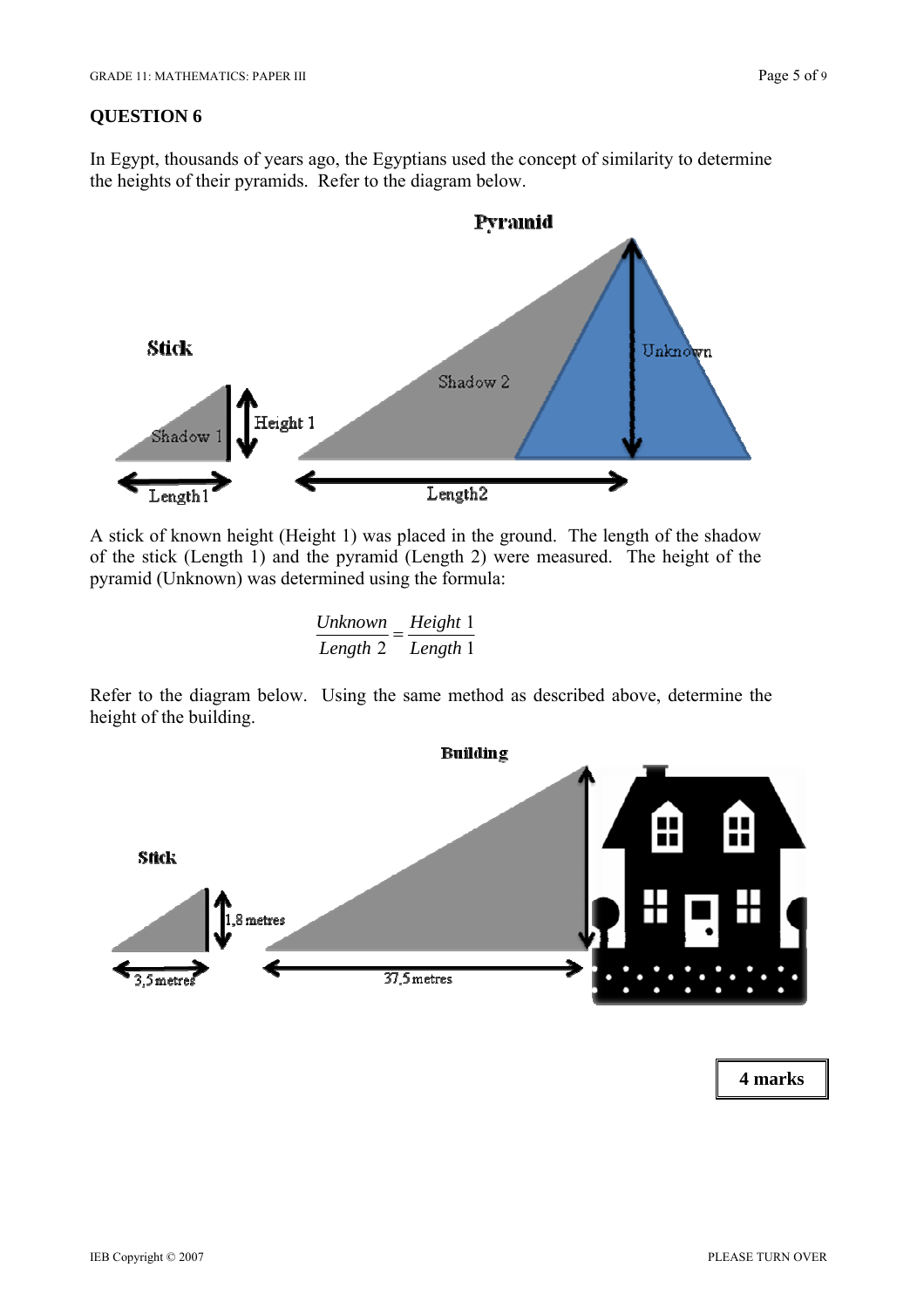In Egypt, thousands of years ago, the Egyptians used the concept of similarity to determine the heights of their pyramids. Refer to the diagram below.



A stick of known height (Height 1) was placed in the ground. The length of the shadow of the stick (Length 1) and the pyramid (Length 2) were measured. The height of the pyramid (Unknown) was determined using the formula:

 $\frac{Unknown}{Length\ 2} = \frac{Height\ 1}{Length\ 1}$ 

Refer to the diagram below. Using the same method as described above, determine the height of the building.

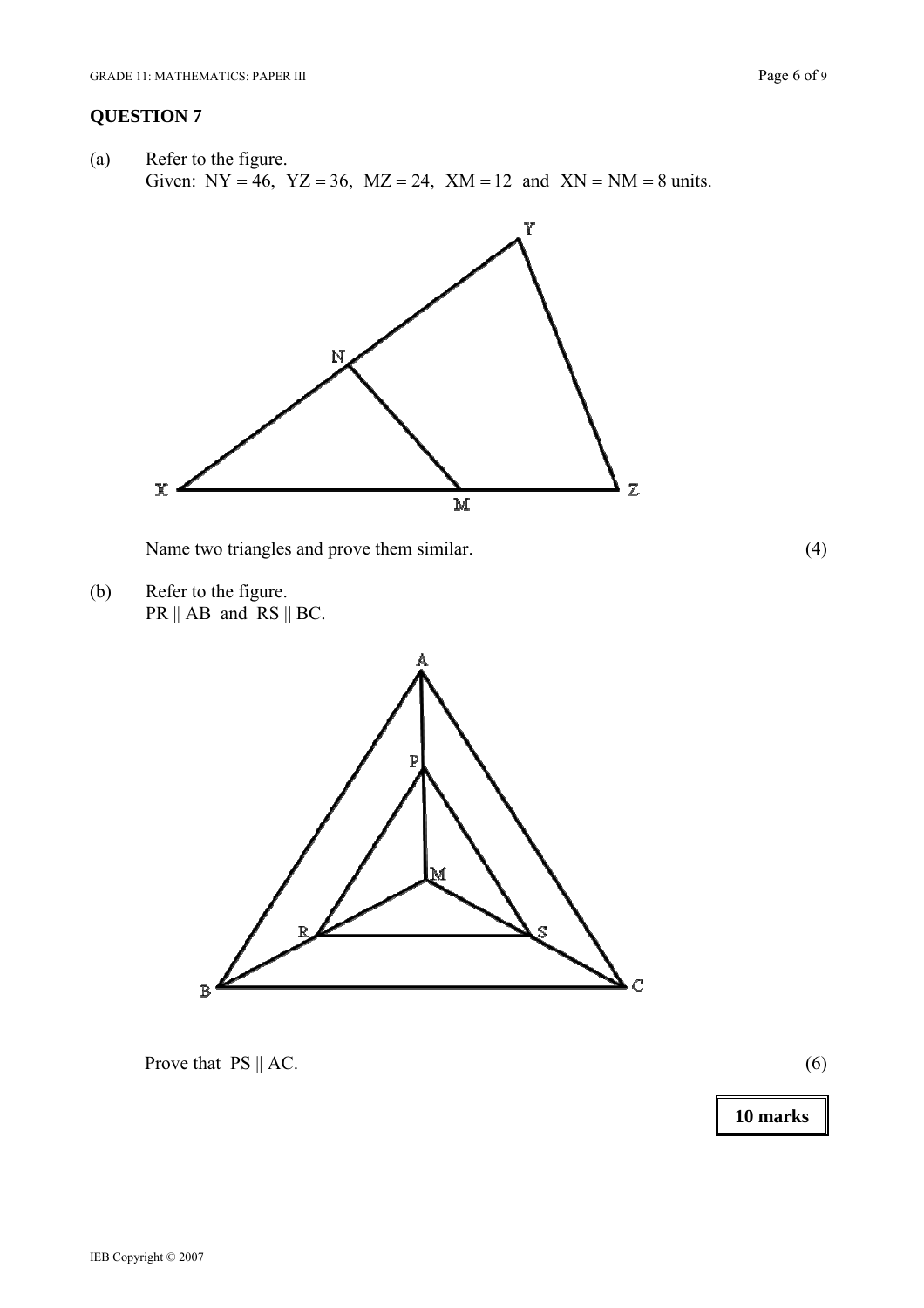(a) Refer to the figure. Given:  $NY = 46$ ,  $YZ = 36$ ,  $MZ = 24$ ,  $XM = 12$  and  $XN = NM = 8$  units.



Name two triangles and prove them similar. (4)

(b) Refer to the figure.  $PR \parallel AB$  and  $RS \parallel BC$ .



Prove that  $PS \parallel AC$ . (6)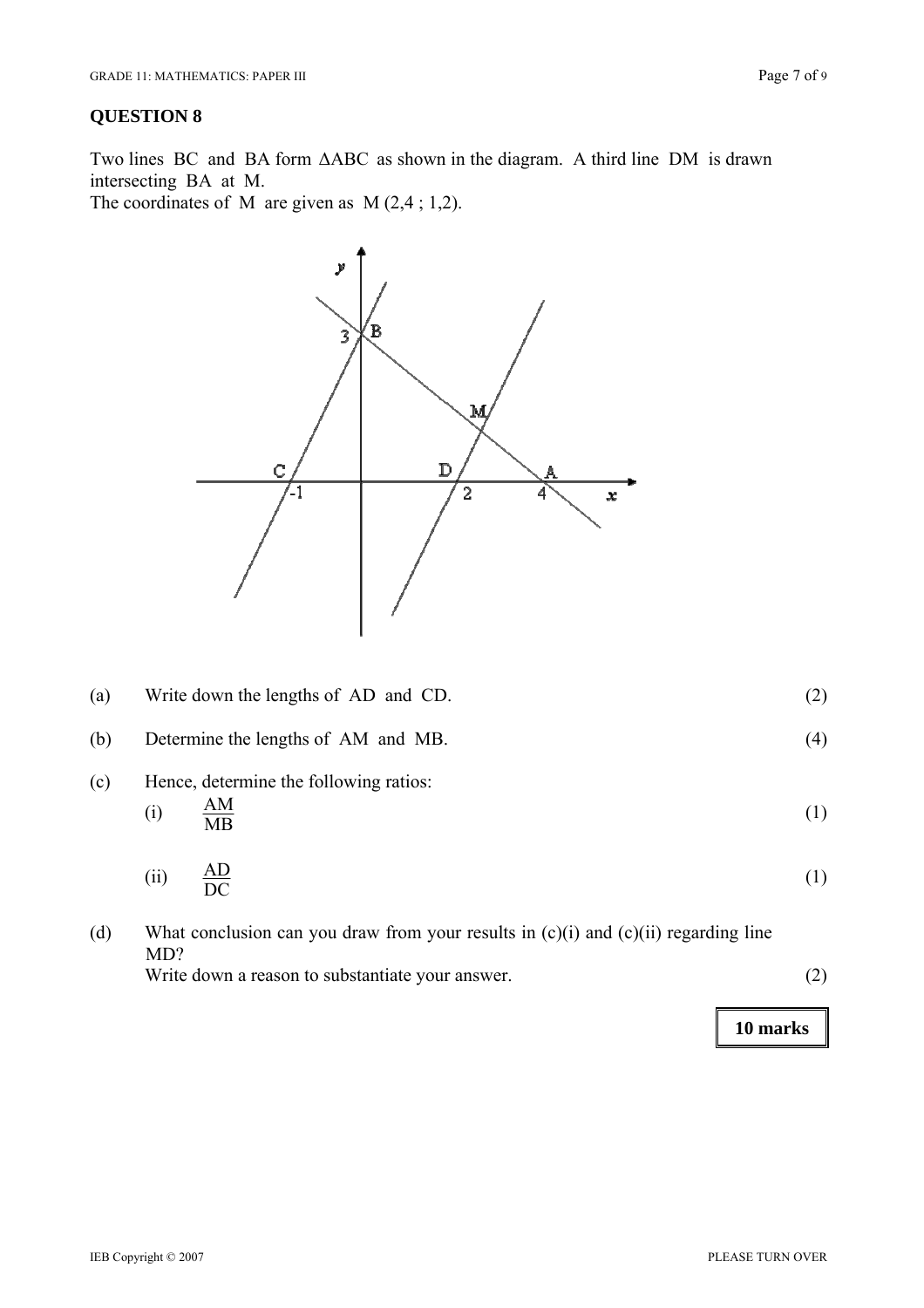Two lines BC and BA form ΔABC as shown in the diagram. A third line DM is drawn intersecting BA at M.

The coordinates of M are given as  $M(2,4; 1,2)$ .



| (a) | Write down the lengths of AD and CD.                                           |     |  |  |
|-----|--------------------------------------------------------------------------------|-----|--|--|
| (b) | Determine the lengths of AM and MB.                                            | (4) |  |  |
| (c) | Hence, determine the following ratios:<br>$\frac{\text{AM}}{\text{MB}}$<br>(i) | (1) |  |  |
|     | $\frac{AD}{DC}$<br>(ii)                                                        | (1) |  |  |
|     |                                                                                |     |  |  |

(d) What conclusion can you draw from your results in (c)(i) and (c)(ii) regarding line MD? Write down a reason to substantiate your answer. (2)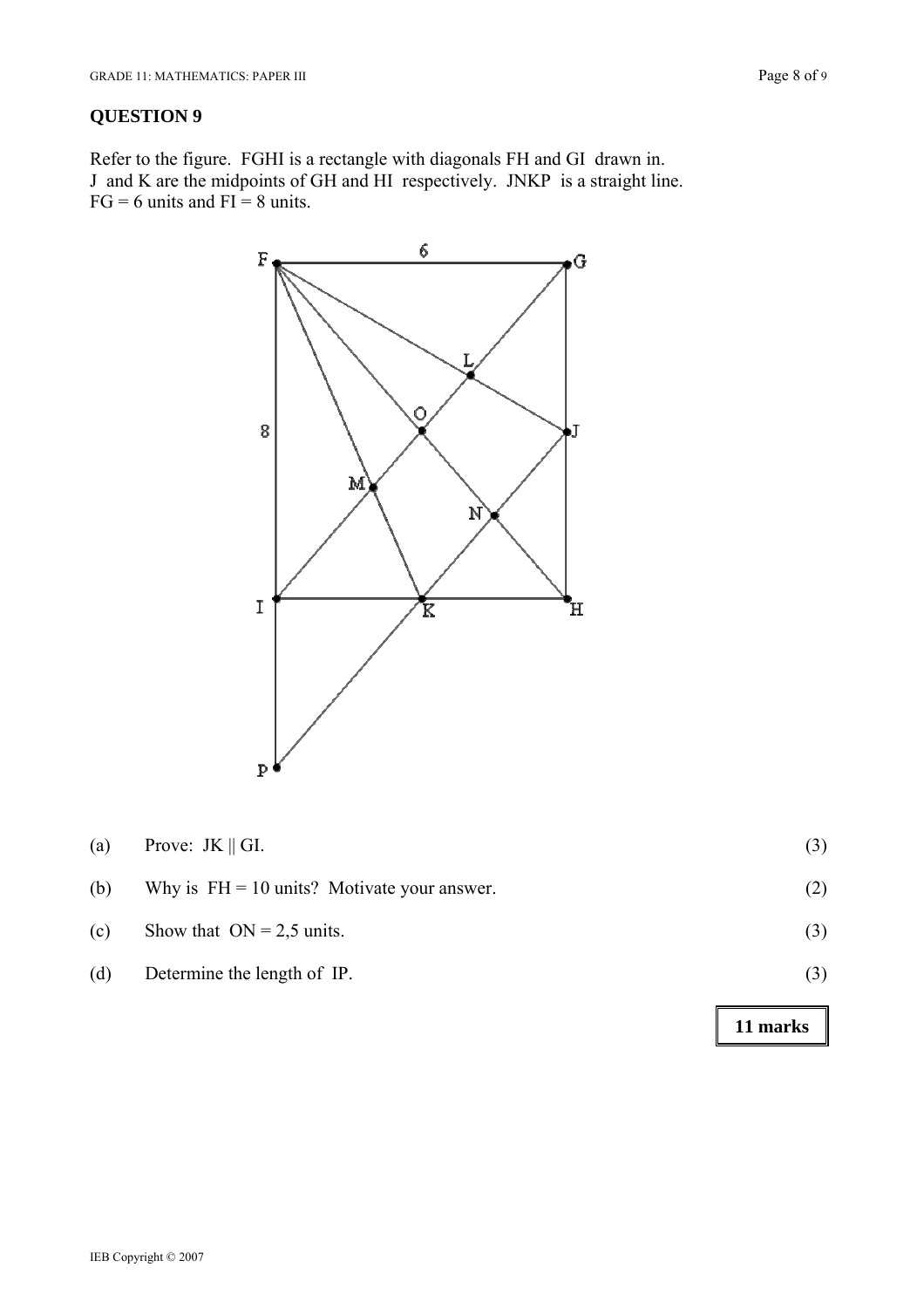Refer to the figure. FGHI is a rectangle with diagonals FH and GI drawn in. J and K are the midpoints of GH and HI respectively. JNKP is a straight line.  $FG = 6$  units and  $FI = 8$  units.



| (a) | Prove: $JK \parallel GI$ .                    | (3) |
|-----|-----------------------------------------------|-----|
| (b) | Why is $FH = 10$ units? Motivate your answer. | (2) |
| (c) | Show that $ON = 2.5$ units.                   | (3) |
| (d) | Determine the length of IP.                   | (3) |
|     |                                               |     |